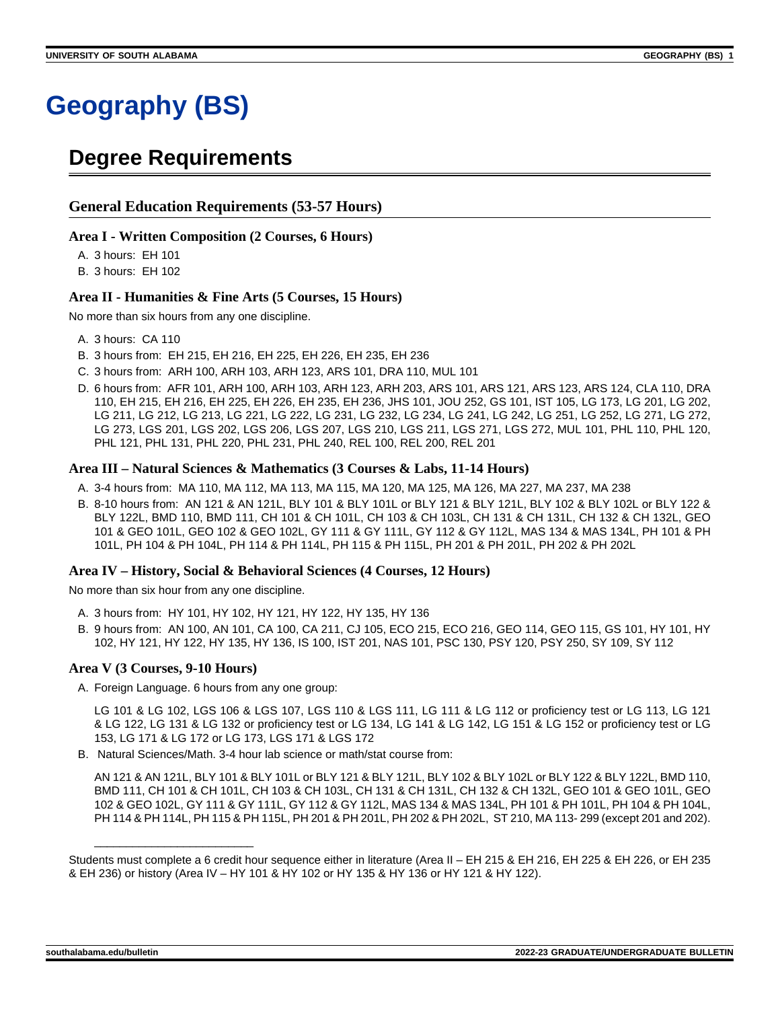# **Geography (BS)**

## **Degree Requirements**

#### **General Education Requirements (53-57 Hours)**

#### **Area I - Written Composition (2 Courses, 6 Hours)**

A. 3 hours: EH 101

B. 3 hours: EH 102

#### **Area II - Humanities & Fine Arts (5 Courses, 15 Hours)**

No more than six hours from any one discipline.

- A. 3 hours: CA 110
- B. 3 hours from: EH 215, EH 216, EH 225, EH 226, EH 235, EH 236
- C. 3 hours from: ARH 100, ARH 103, ARH 123, ARS 101, DRA 110, MUL 101
- D. 6 hours from: AFR 101, ARH 100, ARH 103, ARH 123, ARH 203, ARS 101, ARS 121, ARS 123, ARS 124, CLA 110, DRA 110, EH 215, EH 216, EH 225, EH 226, EH 235, EH 236, JHS 101, JOU 252, GS 101, IST 105, LG 173, LG 201, LG 202, LG 211, LG 212, LG 213, LG 221, LG 222, LG 231, LG 232, LG 234, LG 241, LG 242, LG 251, LG 252, LG 271, LG 272, LG 273, LGS 201, LGS 202, LGS 206, LGS 207, LGS 210, LGS 211, LGS 271, LGS 272, MUL 101, PHL 110, PHL 120, PHL 121, PHL 131, PHL 220, PHL 231, PHL 240, REL 100, REL 200, REL 201

#### **Area III – Natural Sciences & Mathematics (3 Courses & Labs, 11-14 Hours)**

- A. 3-4 hours from: MA 110, MA 112, MA 113, MA 115, MA 120, MA 125, MA 126, MA 227, MA 237, MA 238
- B. 8-10 hours from: AN 121 & AN 121L, BLY 101 & BLY 101L or BLY 121 & BLY 121L, BLY 102 & BLY 102L or BLY 122 & BLY 122L, BMD 110, BMD 111, CH 101 & CH 101L, CH 103 & CH 103L, CH 131 & CH 131L, CH 132 & CH 132L, GEO 101 & GEO 101L, GEO 102 & GEO 102L, GY 111 & GY 111L, GY 112 & GY 112L, MAS 134 & MAS 134L, PH 101 & PH 101L, PH 104 & PH 104L, PH 114 & PH 114L, PH 115 & PH 115L, PH 201 & PH 201L, PH 202 & PH 202L

#### **Area IV – History, Social & Behavioral Sciences (4 Courses, 12 Hours)**

No more than six hour from any one discipline.

- A. 3 hours from: HY 101, HY 102, HY 121, HY 122, HY 135, HY 136
- B. 9 hours from: AN 100, AN 101, CA 100, CA 211, CJ 105, ECO 215, ECO 216, GEO 114, GEO 115, GS 101, HY 101, HY 102, HY 121, HY 122, HY 135, HY 136, IS 100, IST 201, NAS 101, PSC 130, PSY 120, PSY 250, SY 109, SY 112

#### **Area V (3 Courses, 9-10 Hours)**

\_\_\_\_\_\_\_\_\_\_\_\_\_\_\_\_\_\_\_\_\_\_\_\_\_

A. Foreign Language. 6 hours from any one group:

LG 101 & LG 102, LGS 106 & LGS 107, LGS 110 & LGS 111, LG 111 & LG 112 or proficiency test or LG 113, LG 121 & LG 122, LG 131 & LG 132 or proficiency test or LG 134, LG 141 & LG 142, LG 151 & LG 152 or proficiency test or LG 153, LG 171 & LG 172 or LG 173, LGS 171 & LGS 172

B. Natural Sciences/Math. 3-4 hour lab science or math/stat course from:

AN 121 & AN 121L, BLY 101 & BLY 101L or BLY 121 & BLY 121L, BLY 102 & BLY 102L or BLY 122 & BLY 122L, BMD 110, BMD 111, CH 101 & CH 101L, CH 103 & CH 103L, CH 131 & CH 131L, CH 132 & CH 132L, GEO 101 & GEO 101L, GEO 102 & GEO 102L, GY 111 & GY 111L, GY 112 & GY 112L, MAS 134 & MAS 134L, PH 101 & PH 101L, PH 104 & PH 104L, PH 114 & PH 114L, PH 115 & PH 115L, PH 201 & PH 201L, PH 202 & PH 202L, ST 210, MA 113-299 (except 201 and 202).

Students must complete a 6 credit hour sequence either in literature (Area II – EH 215 & EH 216, EH 225 & EH 226, or EH 235 & EH 236) or history (Area IV – HY 101 & HY 102 or HY 135 & HY 136 or HY 121 & HY 122).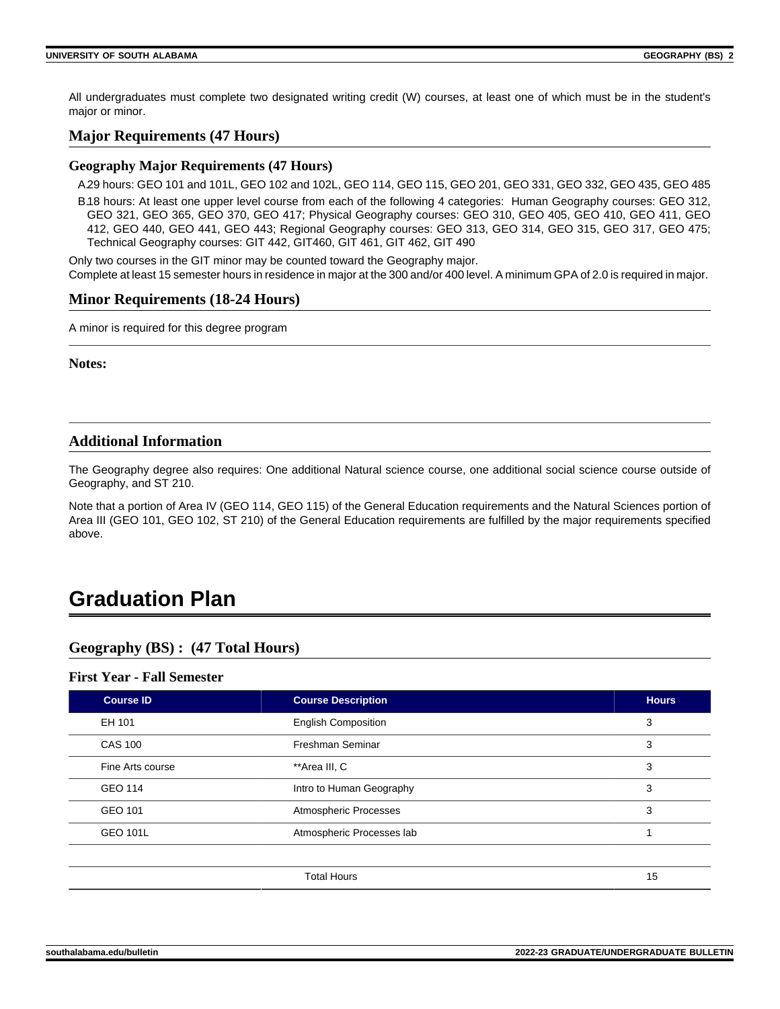All undergraduates must complete two designated writing credit (W) courses, at least one of which must be in the student's major or minor.

## **Major Requirements (47 Hours)**

#### **Geography Major Requirements (47 Hours)**

A.29 hours: GEO 101 and 101L, GEO 102 and 102L, GEO 114, GEO 115, GEO 201, GEO 331, GEO 332, GEO 435, GEO 485 B.18 hours: At least one upper level course from each of the following 4 categories: Human Geography courses: GEO 312, GEO 321, GEO 365, GEO 370, GEO 417; Physical Geography courses: GEO 310, GEO 405, GEO 410, GEO 411, GEO 412, GEO 440, GEO 441, GEO 443; Regional Geography courses: GEO 313, GEO 314, GEO 315, GEO 317, GEO 475; Technical Geography courses: GIT 442, GIT460, GIT 461, GIT 462, GIT 490

Only two courses in the GIT minor may be counted toward the Geography major. Complete at least 15 semester hours in residence in major at the 300 and/or 400 level. A minimum GPA of 2.0 is required in major.

#### **Minor Requirements (18-24 Hours)**

A minor is required for this degree program

**Notes:**

## **Additional Information**

The Geography degree also requires: One additional Natural science course, one additional social science course outside of Geography, and ST 210.

Note that a portion of Area IV (GEO 114, GEO 115) of the General Education requirements and the Natural Sciences portion of Area III (GEO 101, GEO 102, ST 210) of the General Education requirements are fulfilled by the major requirements specified above.

## **Graduation Plan**

## **Geography (BS) : (47 Total Hours)**

#### **First Year - Fall Semester**

| <b>Course ID</b> | <b>Course Description</b>  | <b>Hours</b> |
|------------------|----------------------------|--------------|
| EH 101           | <b>English Composition</b> | 3            |
| <b>CAS 100</b>   | Freshman Seminar           | 3            |
| Fine Arts course | **Area III, C              | 3            |
| <b>GEO 114</b>   | Intro to Human Geography   | 3            |
| GEO 101          | Atmospheric Processes      | 3            |
| <b>GEO 101L</b>  | Atmospheric Processes lab  |              |
|                  |                            |              |
|                  | <b>Total Hours</b>         | 15           |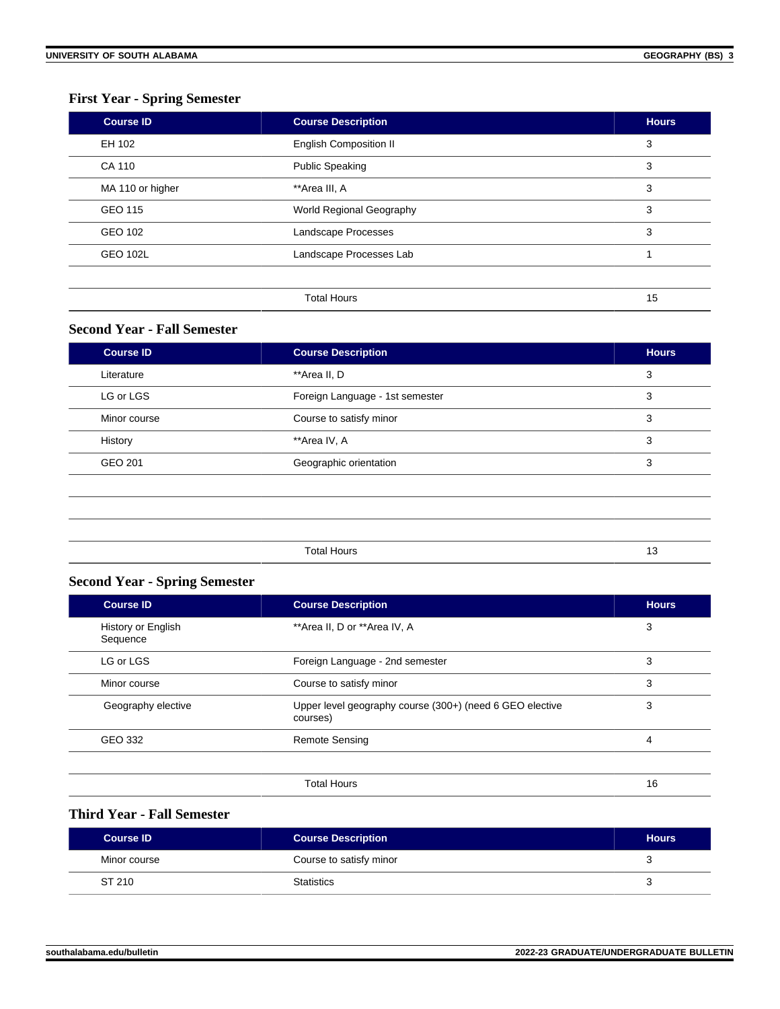## **First Year - Spring Semester**

| <b>Course ID</b> | <b>Course Description</b>     | <b>Hours</b> |
|------------------|-------------------------------|--------------|
| EH 102           | <b>English Composition II</b> | 3            |
| CA 110           | <b>Public Speaking</b>        | 3            |
| MA 110 or higher | **Area III, A                 | 3            |
| GEO 115          | World Regional Geography      | 3            |
| GEO 102          | Landscape Processes           | 3            |
| <b>GEO 102L</b>  | Landscape Processes Lab       |              |
|                  |                               |              |
|                  | <b>Total Hours</b>            | 15           |

## **Second Year - Fall Semester**

| <b>Course ID</b> | <b>Course Description</b>       | <b>Hours</b> |
|------------------|---------------------------------|--------------|
| Literature       | **Area II, D                    | 3            |
| LG or LGS        | Foreign Language - 1st semester | 3            |
| Minor course     | Course to satisfy minor         | 3            |
| History          | **Area IV, A                    | 3            |
| <b>GEO 201</b>   | Geographic orientation          | 3            |
|                  |                                 |              |
|                  |                                 |              |
|                  |                                 |              |
|                  | <b>Total Hours</b>              | 13           |
|                  |                                 |              |

### **Second Year - Spring Semester**

| <b>Course ID</b>               | <b>Course Description</b>                                            | <b>Hours</b> |
|--------------------------------|----------------------------------------------------------------------|--------------|
| History or English<br>Sequence | **Area II, D or **Area IV, A                                         | 3            |
| LG or LGS                      | Foreign Language - 2nd semester                                      | 3            |
| Minor course                   | Course to satisfy minor                                              | 3            |
| Geography elective             | Upper level geography course (300+) (need 6 GEO elective<br>courses) | 3            |
| GEO 332                        | <b>Remote Sensing</b>                                                | 4            |
|                                | <b>Total Hours</b>                                                   | 16           |

## **Third Year - Fall Semester**

| <b>Course ID</b> | <b>Course Description</b> | <b>Hours</b> |
|------------------|---------------------------|--------------|
| Minor course     | Course to satisfy minor   | ີ            |
| ST 210           | <b>Statistics</b>         |              |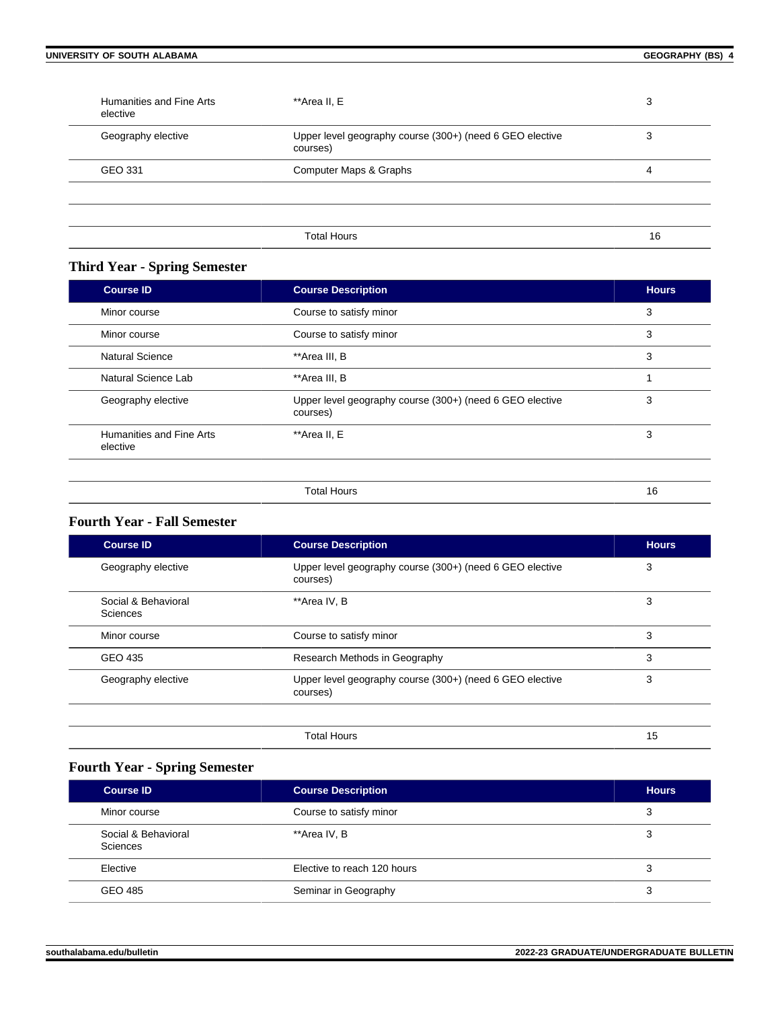| Humanities and Fine Arts<br>elective | **Area II, E                                                         | 3  |
|--------------------------------------|----------------------------------------------------------------------|----|
| Geography elective                   | Upper level geography course (300+) (need 6 GEO elective<br>courses) | 3  |
| GEO 331                              | Computer Maps & Graphs                                               | 4  |
|                                      |                                                                      |    |
|                                      | <b>Total Hours</b>                                                   | 16 |

## **Third Year - Spring Semester**

| <b>Course ID</b>                     | <b>Course Description</b>                                            | <b>Hours</b> |
|--------------------------------------|----------------------------------------------------------------------|--------------|
| Minor course                         | Course to satisfy minor                                              | 3            |
| Minor course                         | Course to satisfy minor                                              | 3            |
| Natural Science                      | **Area III, B                                                        | 3            |
| Natural Science Lab                  | **Area III, B                                                        |              |
| Geography elective                   | Upper level geography course (300+) (need 6 GEO elective<br>courses) | 3            |
| Humanities and Fine Arts<br>elective | **Area II, E                                                         | 3            |
|                                      | <b>Total Hours</b>                                                   | 16           |

### **Fourth Year - Fall Semester**

| <b>Course ID</b>                | <b>Course Description</b>                                            | <b>Hours</b> |
|---------------------------------|----------------------------------------------------------------------|--------------|
| Geography elective              | Upper level geography course (300+) (need 6 GEO elective<br>courses) | 3            |
| Social & Behavioral<br>Sciences | **Area IV, B                                                         | 3            |
| Minor course                    | Course to satisfy minor                                              | 3            |
| GEO 435                         | Research Methods in Geography                                        | 3            |
| Geography elective              | Upper level geography course (300+) (need 6 GEO elective<br>courses) | 3            |
|                                 |                                                                      |              |
|                                 | <b>Total Hours</b>                                                   | 15           |

## **Fourth Year - Spring Semester**

| <b>Course ID</b>                | <b>Course Description</b>   | <b>Hours</b> |
|---------------------------------|-----------------------------|--------------|
| Minor course                    | Course to satisfy minor     |              |
| Social & Behavioral<br>Sciences | **Area IV, B                |              |
| Elective                        | Elective to reach 120 hours |              |
| GEO 485                         | Seminar in Geography        |              |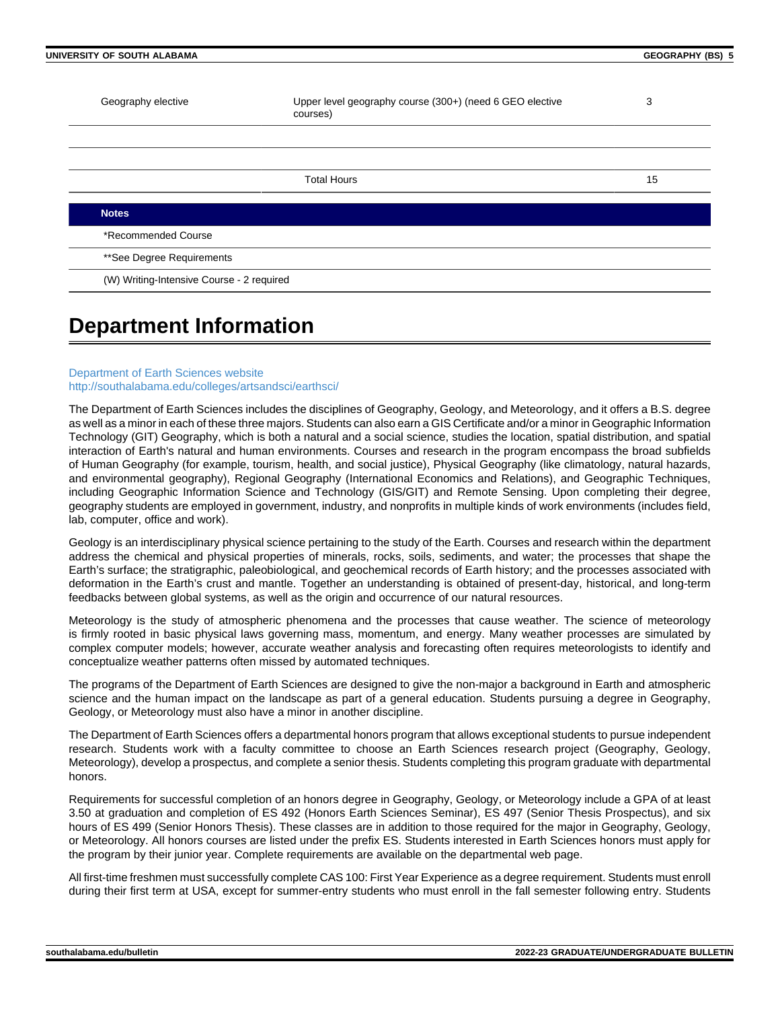| UNIVERSITY OF SOUTH ALABAMA               |                                                                      | <b>GEOGRAPHY (BS) 5</b> |  |
|-------------------------------------------|----------------------------------------------------------------------|-------------------------|--|
| Geography elective                        | Upper level geography course (300+) (need 6 GEO elective<br>courses) | 3                       |  |
|                                           |                                                                      |                         |  |
|                                           | <b>Total Hours</b>                                                   | 15                      |  |
| <b>Notes</b>                              |                                                                      |                         |  |
| *Recommended Course                       |                                                                      |                         |  |
| **See Degree Requirements                 |                                                                      |                         |  |
| (W) Writing-Intensive Course - 2 required |                                                                      |                         |  |

## **Department Information**

#### [Department of Earth Sciences website](https://www.southalabama.edu/earthsci/) [http://southalabama.edu/colleges/artsandsci/earthsci/](https://www.southalabama.edu/colleges/artsandsci/earthsci/)

The Department of Earth Sciences includes the disciplines of Geography, Geology, and Meteorology, and it offers a B.S. degree as well as a minor in each of these three majors. Students can also earn a GIS Certificate and/or a minor in Geographic Information Technology (GIT) Geography, which is both a natural and a social science, studies the location, spatial distribution, and spatial interaction of Earth's natural and human environments. Courses and research in the program encompass the broad subfields of Human Geography (for example, tourism, health, and social justice), Physical Geography (like climatology, natural hazards, and environmental geography), Regional Geography (International Economics and Relations), and Geographic Techniques, including Geographic Information Science and Technology (GIS/GIT) and Remote Sensing. Upon completing their degree, geography students are employed in government, industry, and nonprofits in multiple kinds of work environments (includes field, lab, computer, office and work).

Geology is an interdisciplinary physical science pertaining to the study of the Earth. Courses and research within the department address the chemical and physical properties of minerals, rocks, soils, sediments, and water; the processes that shape the Earth's surface; the stratigraphic, paleobiological, and geochemical records of Earth history; and the processes associated with deformation in the Earth's crust and mantle. Together an understanding is obtained of present-day, historical, and long-term feedbacks between global systems, as well as the origin and occurrence of our natural resources.

Meteorology is the study of atmospheric phenomena and the processes that cause weather. The science of meteorology is firmly rooted in basic physical laws governing mass, momentum, and energy. Many weather processes are simulated by complex computer models; however, accurate weather analysis and forecasting often requires meteorologists to identify and conceptualize weather patterns often missed by automated techniques.

The programs of the Department of Earth Sciences are designed to give the non-major a background in Earth and atmospheric science and the human impact on the landscape as part of a general education. Students pursuing a degree in Geography, Geology, or Meteorology must also have a minor in another discipline.

The Department of Earth Sciences offers a departmental honors program that allows exceptional students to pursue independent research. Students work with a faculty committee to choose an Earth Sciences research project (Geography, Geology, Meteorology), develop a prospectus, and complete a senior thesis. Students completing this program graduate with departmental honors.

Requirements for successful completion of an honors degree in Geography, Geology, or Meteorology include a GPA of at least 3.50 at graduation and completion of ES 492 (Honors Earth Sciences Seminar), ES 497 (Senior Thesis Prospectus), and six hours of ES 499 (Senior Honors Thesis). These classes are in addition to those required for the major in Geography, Geology, or Meteorology. All honors courses are listed under the prefix ES. Students interested in Earth Sciences honors must apply for the program by their junior year. Complete requirements are available on the departmental web page.

All first-time freshmen must successfully complete CAS 100: First Year Experience as a degree requirement. Students must enroll during their first term at USA, except for summer-entry students who must enroll in the fall semester following entry. Students